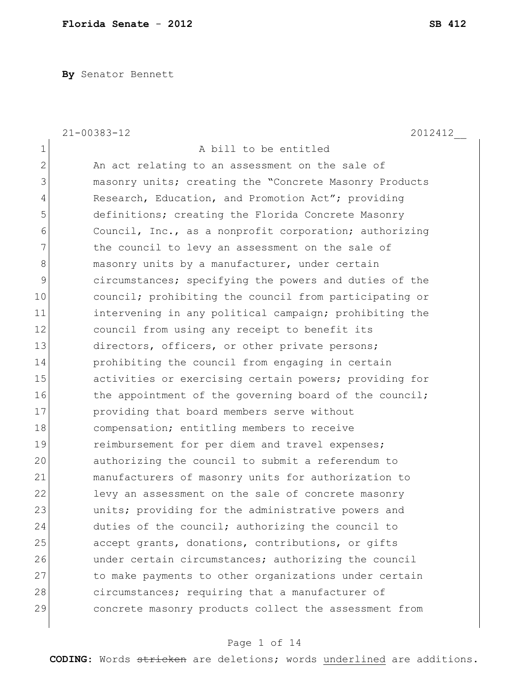**By** Senator Bennett

|                | $21 - 00383 - 12$<br>2012412                           |
|----------------|--------------------------------------------------------|
| 1              | A bill to be entitled                                  |
| $\overline{2}$ | An act relating to an assessment on the sale of        |
| 3              | masonry units; creating the "Concrete Masonry Products |
| 4              | Research, Education, and Promotion Act"; providing     |
| 5              | definitions; creating the Florida Concrete Masonry     |
| 6              | Council, Inc., as a nonprofit corporation; authorizing |
| 7              | the council to levy an assessment on the sale of       |
| 8              | masonry units by a manufacturer, under certain         |
| 9              | circumstances; specifying the powers and duties of the |
| 10             | council; prohibiting the council from participating or |
| 11             | intervening in any political campaign; prohibiting the |
| 12             | council from using any receipt to benefit its          |
| 13             | directors, officers, or other private persons;         |
| 14             | prohibiting the council from engaging in certain       |
| 15             | activities or exercising certain powers; providing for |
| 16             | the appointment of the governing board of the council; |
| 17             | providing that board members serve without             |
| 18             | compensation; entitling members to receive             |
| 19             | reimbursement for per diem and travel expenses;        |
| 20             | authorizing the council to submit a referendum to      |
| 21             | manufacturers of masonry units for authorization to    |
| 22             | levy an assessment on the sale of concrete masonry     |
| 23             | units; providing for the administrative powers and     |
| 24             | duties of the council; authorizing the council to      |
| 25             | accept grants, donations, contributions, or gifts      |
| 26             | under certain circumstances; authorizing the council   |
| 27             | to make payments to other organizations under certain  |
| 28             | circumstances; requiring that a manufacturer of        |
| 29             | concrete masonry products collect the assessment from  |
|                |                                                        |

# Page 1 of 14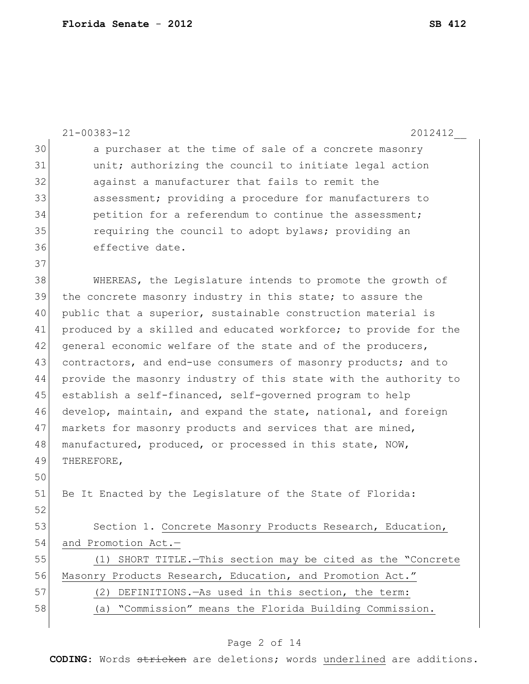|    | $21 - 00383 - 12$<br>2012412                                     |
|----|------------------------------------------------------------------|
| 30 | a purchaser at the time of sale of a concrete masonry            |
| 31 | unit; authorizing the council to initiate legal action           |
| 32 | against a manufacturer that fails to remit the                   |
| 33 | assessment; providing a procedure for manufacturers to           |
| 34 | petition for a referendum to continue the assessment;            |
| 35 | requiring the council to adopt bylaws; providing an              |
| 36 | effective date.                                                  |
| 37 |                                                                  |
| 38 | WHEREAS, the Legislature intends to promote the growth of        |
| 39 | the concrete masonry industry in this state; to assure the       |
| 40 | public that a superior, sustainable construction material is     |
| 41 | produced by a skilled and educated workforce; to provide for the |
| 42 | general economic welfare of the state and of the producers,      |
| 43 | contractors, and end-use consumers of masonry products; and to   |
| 44 | provide the masonry industry of this state with the authority to |
| 45 | establish a self-financed, self-governed program to help         |
| 46 | develop, maintain, and expand the state, national, and foreign   |
| 47 | markets for masonry products and services that are mined,        |
| 48 | manufactured, produced, or processed in this state, NOW,         |
| 49 | THEREFORE,                                                       |
| 50 |                                                                  |
| 51 | Be It Enacted by the Legislature of the State of Florida:        |
| 52 |                                                                  |
| 53 | Section 1. Concrete Masonry Products Research, Education,        |
| 54 | and Promotion Act.-                                              |
| 55 | (1) SHORT TITLE. - This section may be cited as the "Concrete    |
| 56 | Masonry Products Research, Education, and Promotion Act."        |
| 57 | (2) DEFINITIONS. - As used in this section, the term:            |
| 58 | (a) "Commission" means the Florida Building Commission.          |
|    |                                                                  |

# Page 2 of 14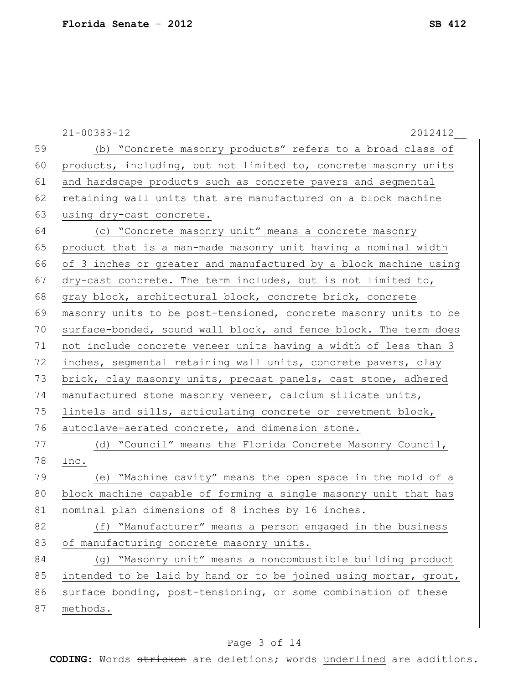|    | $21 - 00383 - 12$<br>2012412                                     |
|----|------------------------------------------------------------------|
| 59 | (b) "Concrete masonry products" refers to a broad class of       |
| 60 | products, including, but not limited to, concrete masonry units  |
| 61 | and hardscape products such as concrete pavers and segmental     |
| 62 | retaining wall units that are manufactured on a block machine    |
| 63 | using dry-cast concrete.                                         |
| 64 | (c) "Concrete masonry unit" means a concrete masonry             |
| 65 | product that is a man-made masonry unit having a nominal width   |
| 66 | of 3 inches or greater and manufactured by a block machine using |
| 67 | dry-cast concrete. The term includes, but is not limited to,     |
| 68 | gray block, architectural block, concrete brick, concrete        |
| 69 | masonry units to be post-tensioned, concrete masonry units to be |
| 70 | surface-bonded, sound wall block, and fence block. The term does |
| 71 | not include concrete veneer units having a width of less than 3  |
| 72 | inches, segmental retaining wall units, concrete pavers, clay    |
| 73 | brick, clay masonry units, precast panels, cast stone, adhered   |
| 74 | manufactured stone masonry veneer, calcium silicate units,       |
| 75 | lintels and sills, articulating concrete or revetment block,     |
| 76 | autoclave-aerated concrete, and dimension stone.                 |
| 77 | (d) "Council" means the Florida Concrete Masonry Council,        |
| 78 | Inc.                                                             |
| 79 | (e) "Machine cavity" means the open space in the mold of a       |
| 80 | block machine capable of forming a single masonry unit that has  |
| 81 | nominal plan dimensions of 8 inches by 16 inches.                |
| 82 | (f) "Manufacturer" means a person engaged in the business        |
| 83 | of manufacturing concrete masonry units.                         |
| 84 | (q) "Masonry unit" means a noncombustible building product       |
| 85 | intended to be laid by hand or to be joined using mortar, grout, |
| 86 | surface bonding, post-tensioning, or some combination of these   |
| 87 | methods.                                                         |
|    |                                                                  |

# Page 3 of 14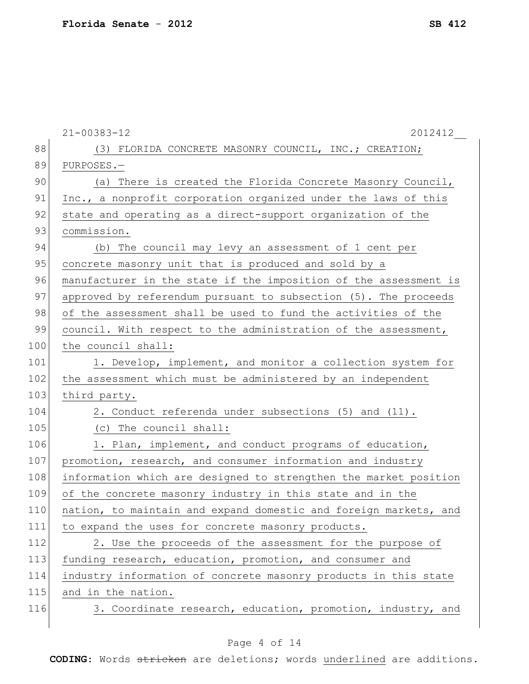|     | $21 - 00383 - 12$<br>2012412                                     |
|-----|------------------------------------------------------------------|
| 88  | (3) FLORIDA CONCRETE MASONRY COUNCIL, INC.; CREATION;            |
| 89  | PURPOSES.-                                                       |
| 90  | (a) There is created the Florida Concrete Masonry Council,       |
| 91  | Inc., a nonprofit corporation organized under the laws of this   |
| 92  | state and operating as a direct-support organization of the      |
| 93  | commission.                                                      |
| 94  | (b) The council may levy an assessment of 1 cent per             |
| 95  | concrete masonry unit that is produced and sold by a             |
| 96  | manufacturer in the state if the imposition of the assessment is |
| 97  | approved by referendum pursuant to subsection (5). The proceeds  |
| 98  | of the assessment shall be used to fund the activities of the    |
| 99  | council. With respect to the administration of the assessment,   |
| 100 | the council shall:                                               |
| 101 | 1. Develop, implement, and monitor a collection system for       |
| 102 | the assessment which must be administered by an independent      |
| 103 | third party.                                                     |
| 104 | 2. Conduct referenda under subsections (5) and (11).             |
| 105 | (c) The council shall:                                           |
| 106 | 1. Plan, implement, and conduct programs of education,           |
| 107 | promotion, research, and consumer information and industry       |
| 108 | information which are designed to strengthen the market position |
| 109 | of the concrete masonry industry in this state and in the        |
| 110 | nation, to maintain and expand domestic and foreign markets, and |
| 111 | to expand the uses for concrete masonry products.                |
| 112 | 2. Use the proceeds of the assessment for the purpose of         |
| 113 | funding research, education, promotion, and consumer and         |
| 114 | industry information of concrete masonry products in this state  |
| 115 | and in the nation.                                               |
| 116 | 3. Coordinate research, education, promotion, industry, and      |
|     |                                                                  |

# Page 4 of 14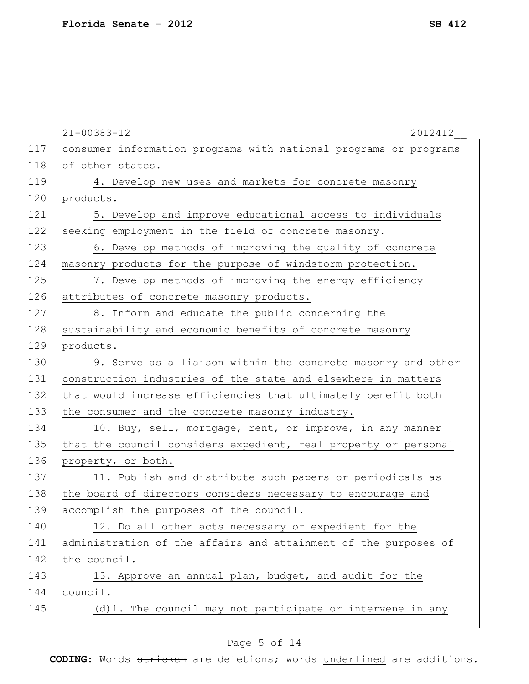|     | $21 - 00383 - 12$<br>2012412                                     |
|-----|------------------------------------------------------------------|
| 117 | consumer information programs with national programs or programs |
| 118 | of other states.                                                 |
| 119 | 4. Develop new uses and markets for concrete masonry             |
| 120 | products.                                                        |
| 121 | 5. Develop and improve educational access to individuals         |
| 122 | seeking employment in the field of concrete masonry.             |
| 123 | 6. Develop methods of improving the quality of concrete          |
| 124 | masonry products for the purpose of windstorm protection.        |
| 125 | 7. Develop methods of improving the energy efficiency            |
| 126 | attributes of concrete masonry products.                         |
| 127 | 8. Inform and educate the public concerning the                  |
| 128 | sustainability and economic benefits of concrete masonry         |
| 129 | products.                                                        |
| 130 | 9. Serve as a liaison within the concrete masonry and other      |
| 131 | construction industries of the state and elsewhere in matters    |
| 132 | that would increase efficiencies that ultimately benefit both    |
| 133 | the consumer and the concrete masonry industry.                  |
| 134 | 10. Buy, sell, mortgage, rent, or improve, in any manner         |
| 135 | that the council considers expedient, real property or personal  |
| 136 | property, or both.                                               |
| 137 | 11. Publish and distribute such papers or periodicals as         |
| 138 | the board of directors considers necessary to encourage and      |
| 139 | accomplish the purposes of the council.                          |
| 140 | 12. Do all other acts necessary or expedient for the             |
| 141 | administration of the affairs and attainment of the purposes of  |
| 142 | the council.                                                     |
| 143 | 13. Approve an annual plan, budget, and audit for the            |
| 144 | council.                                                         |
| 145 | (d) 1. The council may not participate or intervene in any       |
|     |                                                                  |

# Page 5 of 14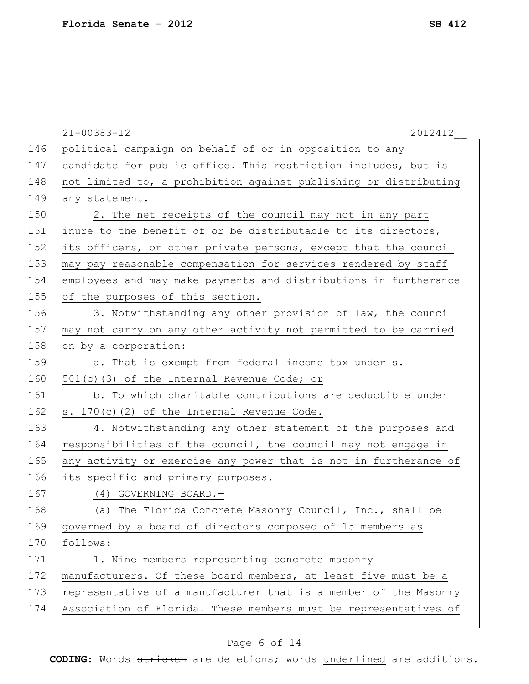|     | $21 - 00383 - 12$<br>2012412                                     |
|-----|------------------------------------------------------------------|
| 146 | political campaign on behalf of or in opposition to any          |
| 147 | candidate for public office. This restriction includes, but is   |
| 148 | not limited to, a prohibition against publishing or distributing |
| 149 | any statement.                                                   |
| 150 | 2. The net receipts of the council may not in any part           |
| 151 | inure to the benefit of or be distributable to its directors,    |
| 152 | its officers, or other private persons, except that the council  |
| 153 | may pay reasonable compensation for services rendered by staff   |
| 154 | employees and may make payments and distributions in furtherance |
| 155 | of the purposes of this section.                                 |
| 156 | 3. Notwithstanding any other provision of law, the council       |
| 157 | may not carry on any other activity not permitted to be carried  |
| 158 | on by a corporation:                                             |
| 159 | a. That is exempt from federal income tax under s.               |
| 160 | 501(c)(3) of the Internal Revenue Code; or                       |
| 161 | b. To which charitable contributions are deductible under        |
| 162 | s. 170(c)(2) of the Internal Revenue Code.                       |
| 163 | 4. Notwithstanding any other statement of the purposes and       |
| 164 | responsibilities of the council, the council may not engage in   |
| 165 | any activity or exercise any power that is not in furtherance of |
| 166 | its specific and primary purposes.                               |
| 167 | (4) GOVERNING BOARD.-                                            |
| 168 | (a) The Florida Concrete Masonry Council, Inc., shall be         |
| 169 | governed by a board of directors composed of 15 members as       |
| 170 | follows:                                                         |
| 171 | 1. Nine members representing concrete masonry                    |
| 172 | manufacturers. Of these board members, at least five must be a   |
| 173 | representative of a manufacturer that is a member of the Masonry |
| 174 | Association of Florida. These members must be representatives of |
|     |                                                                  |

# Page 6 of 14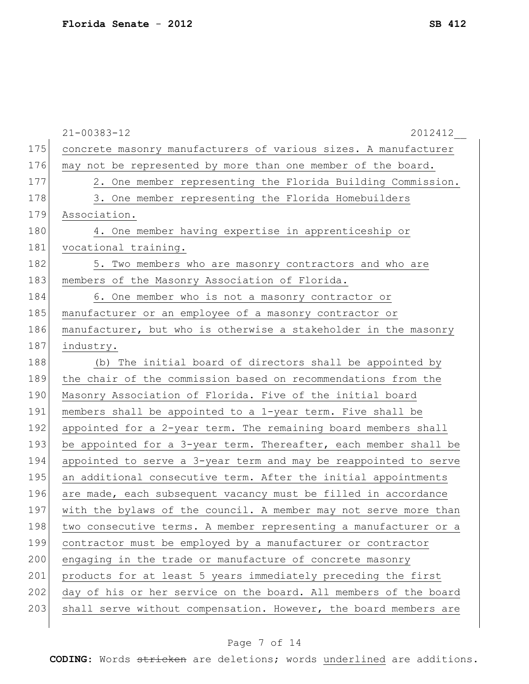|     | $21 - 00383 - 12$<br>2012412                                     |
|-----|------------------------------------------------------------------|
| 175 | concrete masonry manufacturers of various sizes. A manufacturer  |
| 176 | may not be represented by more than one member of the board.     |
| 177 | 2. One member representing the Florida Building Commission.      |
| 178 | 3. One member representing the Florida Homebuilders              |
| 179 | Association.                                                     |
| 180 | 4. One member having expertise in apprenticeship or              |
| 181 | vocational training.                                             |
| 182 | 5. Two members who are masonry contractors and who are           |
| 183 | members of the Masonry Association of Florida.                   |
| 184 | 6. One member who is not a masonry contractor or                 |
| 185 | manufacturer or an employee of a masonry contractor or           |
| 186 | manufacturer, but who is otherwise a stakeholder in the masonry  |
| 187 | industry.                                                        |
| 188 | (b) The initial board of directors shall be appointed by         |
| 189 | the chair of the commission based on recommendations from the    |
| 190 | Masonry Association of Florida. Five of the initial board        |
| 191 | members shall be appointed to a 1-year term. Five shall be       |
| 192 | appointed for a 2-year term. The remaining board members shall   |
| 193 | be appointed for a 3-year term. Thereafter, each member shall be |
| 194 | appointed to serve a 3-year term and may be reappointed to serve |
| 195 | an additional consecutive term. After the initial appointments   |
| 196 | are made, each subsequent vacancy must be filled in accordance   |
| 197 | with the bylaws of the council. A member may not serve more than |
| 198 | two consecutive terms. A member representing a manufacturer or a |
| 199 | contractor must be employed by a manufacturer or contractor      |
| 200 | engaging in the trade or manufacture of concrete masonry         |
| 201 | products for at least 5 years immediately preceding the first    |
| 202 | day of his or her service on the board. All members of the board |
| 203 | shall serve without compensation. However, the board members are |
|     |                                                                  |

# Page 7 of 14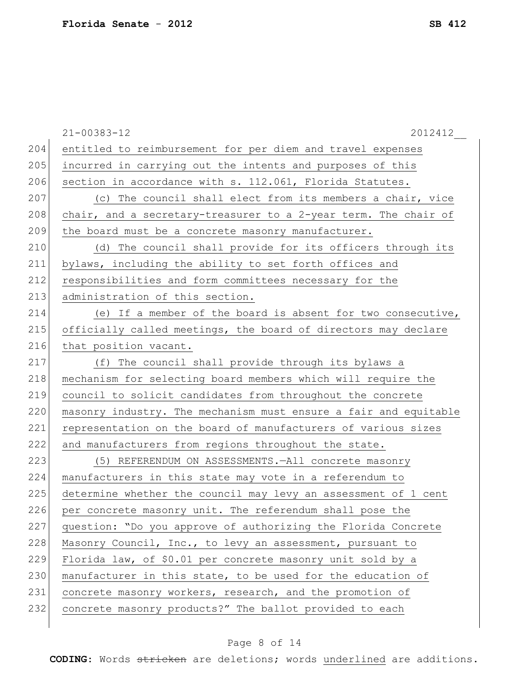|     | $21 - 00383 - 12$<br>2012412                                     |
|-----|------------------------------------------------------------------|
| 204 | entitled to reimbursement for per diem and travel expenses       |
| 205 | incurred in carrying out the intents and purposes of this        |
| 206 | section in accordance with s. 112.061, Florida Statutes.         |
| 207 | (c) The council shall elect from its members a chair, vice       |
| 208 | chair, and a secretary-treasurer to a 2-year term. The chair of  |
| 209 | the board must be a concrete masonry manufacturer.               |
| 210 | (d) The council shall provide for its officers through its       |
| 211 | bylaws, including the ability to set forth offices and           |
| 212 | responsibilities and form committees necessary for the           |
| 213 | administration of this section.                                  |
| 214 | (e) If a member of the board is absent for two consecutive,      |
| 215 | officially called meetings, the board of directors may declare   |
| 216 | that position vacant.                                            |
| 217 | (f) The council shall provide through its bylaws a               |
| 218 | mechanism for selecting board members which will require the     |
| 219 | council to solicit candidates from throughout the concrete       |
| 220 | masonry industry. The mechanism must ensure a fair and equitable |
| 221 | representation on the board of manufacturers of various sizes    |
| 222 | and manufacturers from regions throughout the state.             |
| 223 | (5) REFERENDUM ON ASSESSMENTS. - All concrete masonry            |
| 224 | manufacturers in this state may vote in a referendum to          |
| 225 | determine whether the council may levy an assessment of 1 cent   |
| 226 | per concrete masonry unit. The referendum shall pose the         |
| 227 | question: "Do you approve of authorizing the Florida Concrete    |
| 228 | Masonry Council, Inc., to levy an assessment, pursuant to        |
| 229 | Florida law, of \$0.01 per concrete masonry unit sold by a       |
| 230 | manufacturer in this state, to be used for the education of      |
| 231 | concrete masonry workers, research, and the promotion of         |
| 232 | concrete masonry products?" The ballot provided to each          |
|     |                                                                  |

# Page 8 of 14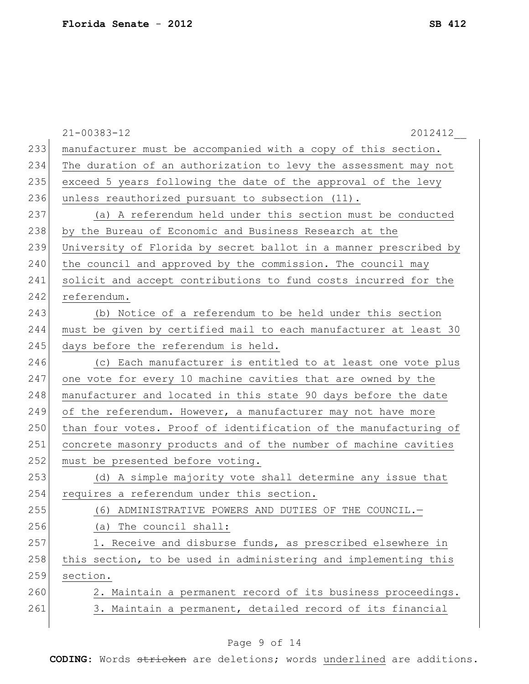|     | 2012412<br>$21 - 00383 - 12$                                     |
|-----|------------------------------------------------------------------|
| 233 | manufacturer must be accompanied with a copy of this section.    |
| 234 | The duration of an authorization to levy the assessment may not  |
| 235 | exceed 5 years following the date of the approval of the levy    |
| 236 | unless reauthorized pursuant to subsection (11).                 |
| 237 | (a) A referendum held under this section must be conducted       |
| 238 | by the Bureau of Economic and Business Research at the           |
| 239 | University of Florida by secret ballot in a manner prescribed by |
| 240 | the council and approved by the commission. The council may      |
| 241 | solicit and accept contributions to fund costs incurred for the  |
| 242 | referendum.                                                      |
| 243 | (b) Notice of a referendum to be held under this section         |
| 244 | must be given by certified mail to each manufacturer at least 30 |
| 245 | days before the referendum is held.                              |
| 246 | (c) Each manufacturer is entitled to at least one vote plus      |
| 247 | one vote for every 10 machine cavities that are owned by the     |
| 248 | manufacturer and located in this state 90 days before the date   |
| 249 | of the referendum. However, a manufacturer may not have more     |
| 250 | than four votes. Proof of identification of the manufacturing of |
| 251 | concrete masonry products and of the number of machine cavities  |
| 252 | must be presented before voting.                                 |
| 253 | (d) A simple majority vote shall determine any issue that        |
| 254 | requires a referendum under this section.                        |
| 255 | (6) ADMINISTRATIVE POWERS AND DUTIES OF THE COUNCIL.             |
| 256 | (a) The council shall:                                           |
| 257 | 1. Receive and disburse funds, as prescribed elsewhere in        |
| 258 | this section, to be used in administering and implementing this  |
| 259 | section.                                                         |
| 260 | 2. Maintain a permanent record of its business proceedings.      |
| 261 | 3. Maintain a permanent, detailed record of its financial        |
|     |                                                                  |

# Page 9 of 14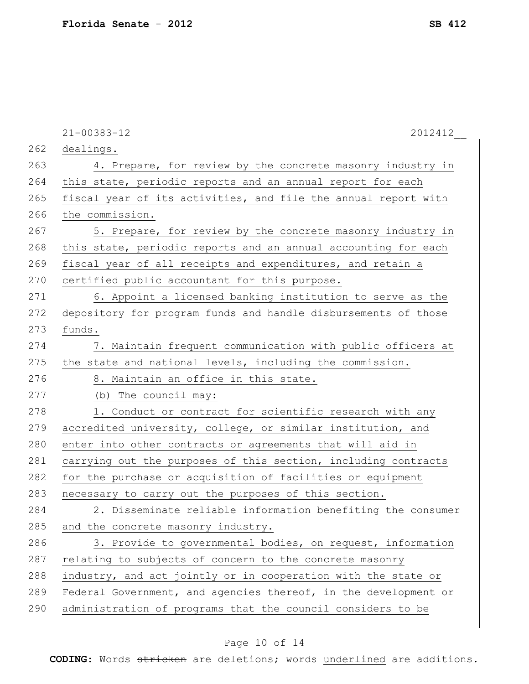|     | $21 - 00383 - 12$<br>2012412                                    |
|-----|-----------------------------------------------------------------|
| 262 | dealings.                                                       |
| 263 | 4. Prepare, for review by the concrete masonry industry in      |
| 264 | this state, periodic reports and an annual report for each      |
| 265 | fiscal year of its activities, and file the annual report with  |
| 266 | the commission.                                                 |
| 267 | 5. Prepare, for review by the concrete masonry industry in      |
| 268 | this state, periodic reports and an annual accounting for each  |
| 269 | fiscal year of all receipts and expenditures, and retain a      |
| 270 | certified public accountant for this purpose.                   |
| 271 | 6. Appoint a licensed banking institution to serve as the       |
| 272 | depository for program funds and handle disbursements of those  |
| 273 | funds.                                                          |
| 274 | 7. Maintain frequent communication with public officers at      |
| 275 | the state and national levels, including the commission.        |
| 276 | 8. Maintain an office in this state.                            |
| 277 | (b) The council may:                                            |
| 278 | 1. Conduct or contract for scientific research with any         |
| 279 | accredited university, college, or similar institution, and     |
| 280 | enter into other contracts or agreements that will aid in       |
| 281 | carrying out the purposes of this section, including contracts  |
| 282 | for the purchase or acquisition of facilities or equipment      |
| 283 | necessary to carry out the purposes of this section.            |
| 284 | 2. Disseminate reliable information benefiting the consumer     |
| 285 | and the concrete masonry industry.                              |
| 286 | 3. Provide to governmental bodies, on request, information      |
| 287 | relating to subjects of concern to the concrete masonry         |
| 288 | industry, and act jointly or in cooperation with the state or   |
| 289 | Federal Government, and agencies thereof, in the development or |
| 290 | administration of programs that the council considers to be     |
|     |                                                                 |

# Page 10 of 14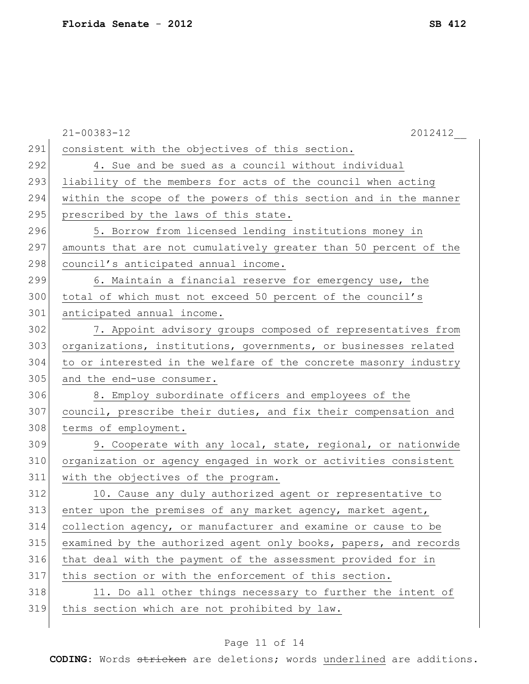|     | $21 - 00383 - 12$<br>2012412                                     |
|-----|------------------------------------------------------------------|
| 291 | consistent with the objectives of this section.                  |
| 292 | 4. Sue and be sued as a council without individual               |
| 293 | liability of the members for acts of the council when acting     |
| 294 | within the scope of the powers of this section and in the manner |
| 295 | prescribed by the laws of this state.                            |
| 296 | 5. Borrow from licensed lending institutions money in            |
| 297 | amounts that are not cumulatively greater than 50 percent of the |
| 298 | council's anticipated annual income.                             |
| 299 | 6. Maintain a financial reserve for emergency use, the           |
| 300 | total of which must not exceed 50 percent of the council's       |
| 301 | anticipated annual income.                                       |
| 302 | 7. Appoint advisory groups composed of representatives from      |
| 303 | organizations, institutions, governments, or businesses related  |
| 304 | to or interested in the welfare of the concrete masonry industry |
| 305 | and the end-use consumer.                                        |
| 306 | 8. Employ subordinate officers and employees of the              |
| 307 | council, prescribe their duties, and fix their compensation and  |
| 308 | terms of employment.                                             |
| 309 | 9. Cooperate with any local, state, regional, or nationwide      |
| 310 | organization or agency engaged in work or activities consistent  |
| 311 | with the objectives of the program.                              |
| 312 | 10. Cause any duly authorized agent or representative to         |
| 313 | enter upon the premises of any market agency, market agent,      |
| 314 | collection agency, or manufacturer and examine or cause to be    |
| 315 | examined by the authorized agent only books, papers, and records |
| 316 | that deal with the payment of the assessment provided for in     |
| 317 | this section or with the enforcement of this section.            |
| 318 | 11. Do all other things necessary to further the intent of       |
| 319 | this section which are not prohibited by law.                    |
|     |                                                                  |

# Page 11 of 14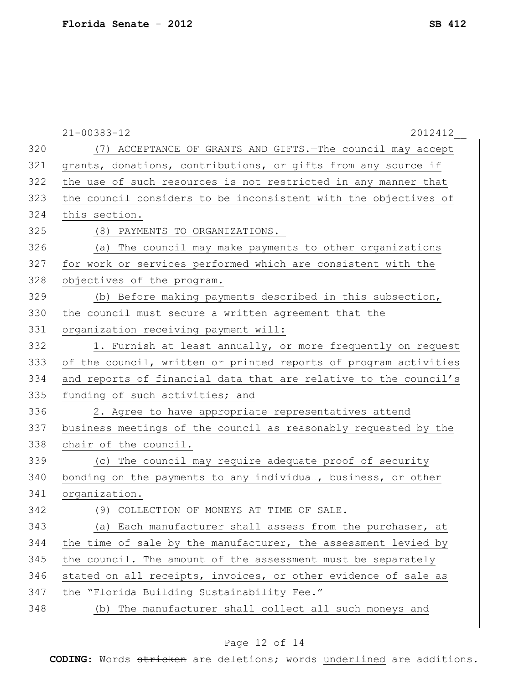|     | $21 - 00383 - 12$<br>2012412                                     |
|-----|------------------------------------------------------------------|
| 320 | (7) ACCEPTANCE OF GRANTS AND GIFTS. - The council may accept     |
| 321 | grants, donations, contributions, or gifts from any source if    |
| 322 | the use of such resources is not restricted in any manner that   |
| 323 | the council considers to be inconsistent with the objectives of  |
| 324 | this section.                                                    |
| 325 | (8) PAYMENTS TO ORGANIZATIONS.-                                  |
| 326 | (a) The council may make payments to other organizations         |
| 327 | for work or services performed which are consistent with the     |
| 328 | objectives of the program.                                       |
| 329 | (b) Before making payments described in this subsection,         |
| 330 | the council must secure a written agreement that the             |
| 331 | organization receiving payment will:                             |
| 332 | 1. Furnish at least annually, or more frequently on request      |
| 333 | of the council, written or printed reports of program activities |
| 334 | and reports of financial data that are relative to the council's |
| 335 | funding of such activities; and                                  |
| 336 | 2. Agree to have appropriate representatives attend              |
| 337 | business meetings of the council as reasonably requested by the  |
| 338 | chair of the council.                                            |
| 339 | (c) The council may require adequate proof of security           |
| 340 | bonding on the payments to any individual, business, or other    |
| 341 | organization.                                                    |
| 342 | (9) COLLECTION OF MONEYS AT TIME OF SALE.-                       |
| 343 | (a) Each manufacturer shall assess from the purchaser, at        |
| 344 | the time of sale by the manufacturer, the assessment levied by   |
| 345 | the council. The amount of the assessment must be separately     |
| 346 | stated on all receipts, invoices, or other evidence of sale as   |
| 347 | the "Florida Building Sustainability Fee."                       |
| 348 | (b) The manufacturer shall collect all such moneys and           |
|     |                                                                  |

# Page 12 of 14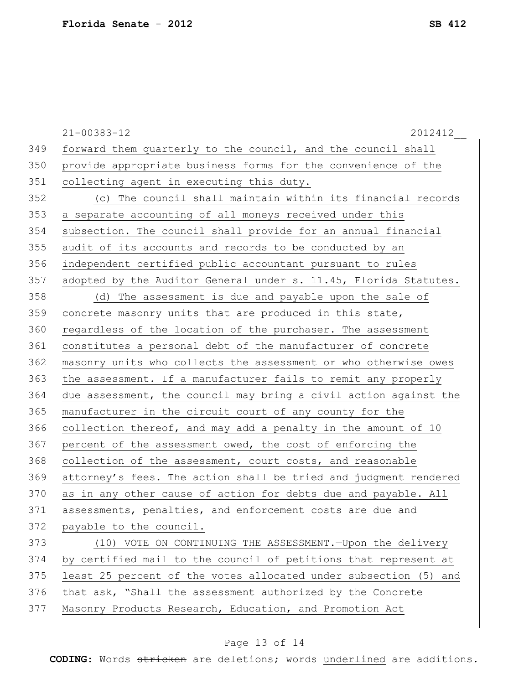|     | $21 - 00383 - 12$<br>2012412                                     |
|-----|------------------------------------------------------------------|
| 349 | forward them quarterly to the council, and the council shall     |
| 350 | provide appropriate business forms for the convenience of the    |
| 351 | collecting agent in executing this duty.                         |
| 352 | (c) The council shall maintain within its financial records      |
| 353 | a separate accounting of all moneys received under this          |
| 354 | subsection. The council shall provide for an annual financial    |
| 355 | audit of its accounts and records to be conducted by an          |
| 356 | independent certified public accountant pursuant to rules        |
| 357 | adopted by the Auditor General under s. 11.45, Florida Statutes. |
| 358 | (d) The assessment is due and payable upon the sale of           |
| 359 | concrete masonry units that are produced in this state,          |
| 360 | regardless of the location of the purchaser. The assessment      |
| 361 | constitutes a personal debt of the manufacturer of concrete      |
| 362 | masonry units who collects the assessment or who otherwise owes  |
| 363 | the assessment. If a manufacturer fails to remit any properly    |
| 364 | due assessment, the council may bring a civil action against the |
| 365 | manufacturer in the circuit court of any county for the          |
| 366 | collection thereof, and may add a penalty in the amount of 10    |
| 367 | percent of the assessment owed, the cost of enforcing the        |
| 368 | collection of the assessment, court costs, and reasonable        |
| 369 | attorney's fees. The action shall be tried and judgment rendered |
| 370 | as in any other cause of action for debts due and payable. All   |
| 371 | assessments, penalties, and enforcement costs are due and        |
| 372 | payable to the council.                                          |
| 373 | (10) VOTE ON CONTINUING THE ASSESSMENT. - Upon the delivery      |
| 374 | by certified mail to the council of petitions that represent at  |
| 375 | least 25 percent of the votes allocated under subsection (5) and |
| 376 | that ask, "Shall the assessment authorized by the Concrete       |
| 377 | Masonry Products Research, Education, and Promotion Act          |
|     |                                                                  |

# Page 13 of 14